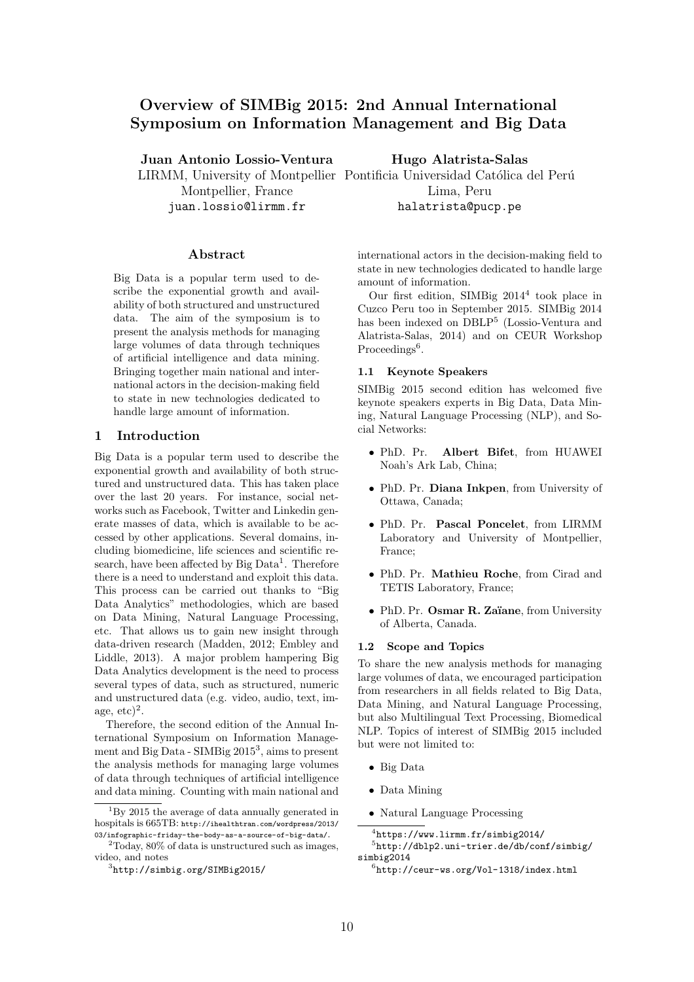# Overview of SIMBig 2015: 2nd Annual International Symposium on Information Management and Big Data

Juan Antonio Lossio-Ventura

Montpellier, France juan.lossio@lirmm.fr

#### Abstract

Big Data is a popular term used to describe the exponential growth and availability of both structured and unstructured data. The aim of the symposium is to present the analysis methods for managing large volumes of data through techniques of artificial intelligence and data mining. Bringing together main national and international actors in the decision-making field to state in new technologies dedicated to handle large amount of information.

#### 1 Introduction

Big Data is a popular term used to describe the exponential growth and availability of both structured and unstructured data. This has taken place over the last 20 years. For instance, social networks such as Facebook, Twitter and Linkedin generate masses of data, which is available to be accessed by other applications. Several domains, including biomedicine, life sciences and scientific research, have been affected by Big Data<sup>1</sup>. Therefore there is a need to understand and exploit this data. This process can be carried out thanks to "Big Data Analytics" methodologies, which are based on Data Mining, Natural Language Processing, etc. That allows us to gain new insight through data-driven research (Madden, 2012; Embley and Liddle, 2013). A major problem hampering Big Data Analytics development is the need to process several types of data, such as structured, numeric and unstructured data (e.g. video, audio, text, image,  $etc)^2$ .

Therefore, the second edition of the Annual International Symposium on Information Management and Big Data - SIMBig 2015<sup>3</sup>, aims to present the analysis methods for managing large volumes of data through techniques of artificial intelligence and data mining. Counting with main national and Hugo Alatrista-Salas

LIRMM, University of Montpellier Pontificia Universidad Católica del Perú Lima, Peru halatrista@pucp.pe

> international actors in the decision-making field to state in new technologies dedicated to handle large amount of information.

> Our first edition, SIMBig 2014<sup>4</sup> took place in Cuzco Peru too in September 2015. SIMBig 2014 has been indexed on DBLP<sup>5</sup> (Lossio-Ventura and Alatrista-Salas, 2014) and on CEUR Workshop Proceedings<sup>6</sup>.

#### 1.1 Keynote Speakers

SIMBig 2015 second edition has welcomed five keynote speakers experts in Big Data, Data Mining, Natural Language Processing (NLP), and Social Networks:

- *•* PhD. Pr. Albert Bifet, from HUAWEI Noah's Ark Lab, China;
- *•* PhD. Pr. Diana Inkpen, from University of Ottawa, Canada;
- *•* PhD. Pr. Pascal Poncelet, from LIRMM Laboratory and University of Montpellier, France;
- *•* PhD. Pr. Mathieu Roche, from Cirad and TETIS Laboratory, France;
- PhD. Pr. Osmar R. Zaïane, from University of Alberta, Canada.

#### 1.2 Scope and Topics

To share the new analysis methods for managing large volumes of data, we encouraged participation from researchers in all fields related to Big Data, Data Mining, and Natural Language Processing, but also Multilingual Text Processing, Biomedical NLP. Topics of interest of SIMBig 2015 included but were not limited to:

- *•* Big Data
- *•* Data Mining
- *•* Natural Language Processing

 $1_{\rm B}$  2015 the average of data annually generated in hospitals is 665TB: http://ihealthtran.com/wordpress/2013/ 03/infographic-friday-the-body-as-a-source-of-big-data/.

 $2^2$ Today,  $80\%$  of data is unstructured such as images, video, and notes

<sup>3</sup>http://simbig.org/SIMBig2015/

 $^4$ https://www.lirmm.fr/simbig2014/ <sup>5</sup>http://dblp2.uni-trier.de/db/conf/simbig/ simbig2014

 $^6$ http://ceur-ws.org/Vol-1318/index.html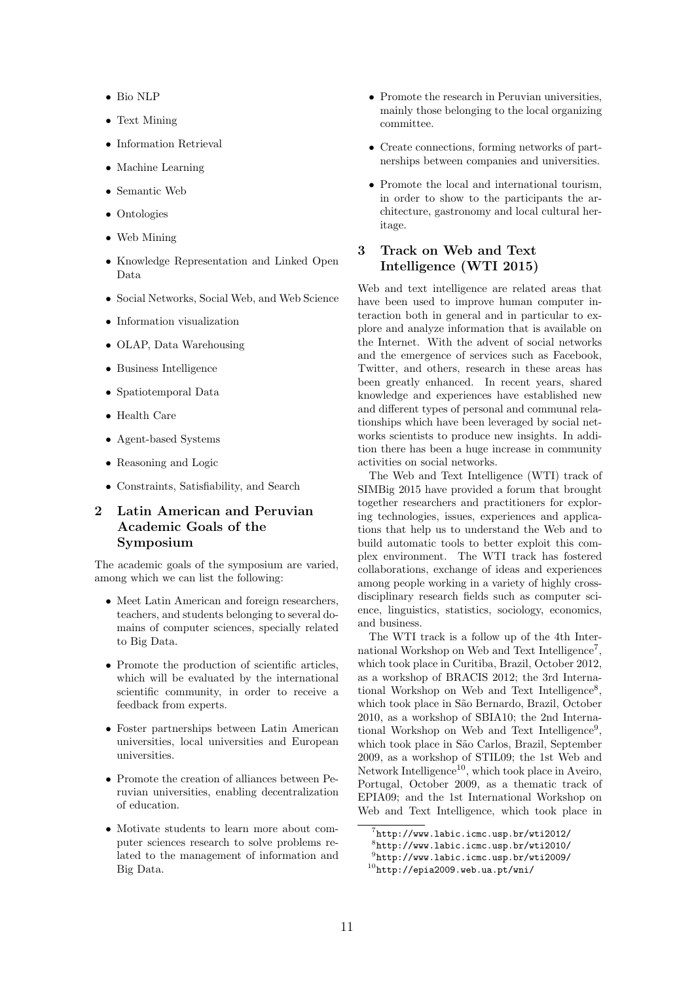- *•* Bio NLP
- *•* Text Mining
- *•* Information Retrieval
- *•* Machine Learning
- *•* Semantic Web
- *•* Ontologies
- *•* Web Mining
- *•* Knowledge Representation and Linked Open Data
- *•* Social Networks, Social Web, and Web Science
- *•* Information visualization
- *•* OLAP, Data Warehousing
- *•* Business Intelligence
- *•* Spatiotemporal Data
- *•* Health Care
- *•* Agent-based Systems
- *•* Reasoning and Logic
- *•* Constraints, Satisfiability, and Search

# 2 Latin American and Peruvian Academic Goals of the Symposium

The academic goals of the symposium are varied, among which we can list the following:

- Meet Latin American and foreign researchers, teachers, and students belonging to several domains of computer sciences, specially related to Big Data.
- Promote the production of scientific articles, which will be evaluated by the international scientific community, in order to receive a feedback from experts.
- *•* Foster partnerships between Latin American universities, local universities and European universities.
- *•* Promote the creation of alliances between Peruvian universities, enabling decentralization of education.
- *•* Motivate students to learn more about computer sciences research to solve problems related to the management of information and Big Data.
- Promote the research in Peruvian universities, mainly those belonging to the local organizing committee.
- *•* Create connections, forming networks of partnerships between companies and universities.
- *•* Promote the local and international tourism, in order to show to the participants the architecture, gastronomy and local cultural heritage.

# 3 Track on Web and Text Intelligence (WTI 2015)

Web and text intelligence are related areas that have been used to improve human computer interaction both in general and in particular to explore and analyze information that is available on the Internet. With the advent of social networks and the emergence of services such as Facebook, Twitter, and others, research in these areas has been greatly enhanced. In recent years, shared knowledge and experiences have established new and different types of personal and communal relationships which have been leveraged by social networks scientists to produce new insights. In addition there has been a huge increase in community activities on social networks.

The Web and Text Intelligence (WTI) track of SIMBig 2015 have provided a forum that brought together researchers and practitioners for exploring technologies, issues, experiences and applications that help us to understand the Web and to build automatic tools to better exploit this complex environment. The WTI track has fostered collaborations, exchange of ideas and experiences among people working in a variety of highly crossdisciplinary research fields such as computer science, linguistics, statistics, sociology, economics, and business.

The WTI track is a follow up of the 4th International Workshop on Web and Text Intelligence<sup>7</sup>, which took place in Curitiba, Brazil, October 2012, as a workshop of BRACIS 2012; the 3rd International Workshop on Web and Text Intelligence<sup>8</sup>. which took place in São Bernardo, Brazil, October 2010, as a workshop of SBIA10; the 2nd International Workshop on Web and Text Intelligence<sup>9</sup>. which took place in São Carlos, Brazil, September 2009, as a workshop of STIL09; the 1st Web and Network Intelligence<sup>10</sup>, which took place in Aveiro, Portugal, October 2009, as a thematic track of EPIA09; and the 1st International Workshop on Web and Text Intelligence, which took place in

 $^{7}$ http://www.labic.icmc.usp.br/wti2012/

 $8$ http://www.labic.icmc.usp.br/wti2010/

 $^{9}$ http://www.labic.icmc.usp.br/wti2009/

 $^{10}$ http://epia2009.web.ua.pt/wni/